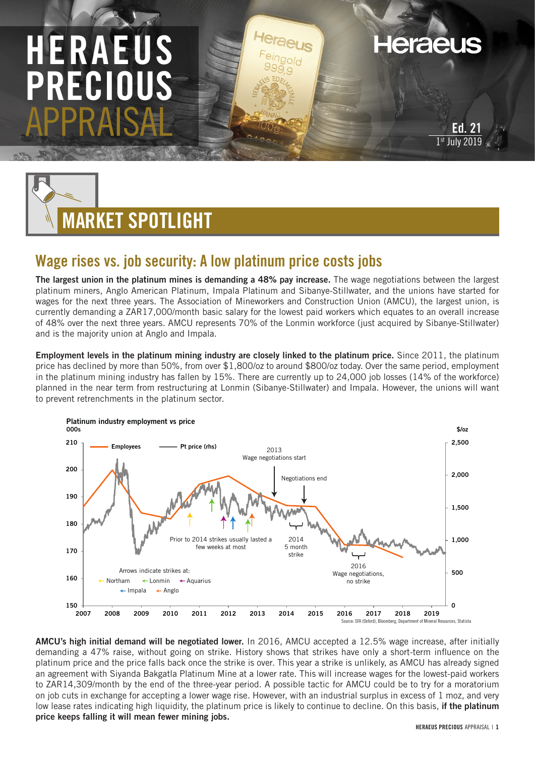## HERAEUS PRECI APPRAISAL

**Heraeus** 



## Wage rises vs. job security: A low platinum price costs jobs

The largest union in the platinum mines is demanding a 48% pay increase. The wage negotiations between the largest platinum miners, Anglo American Platinum, Impala Platinum and Sibanye-Stillwater, and the unions have started for wages for the next three years. The Association of Mineworkers and Construction Union (AMCU), the largest union, is currently demanding a ZAR17,000/month basic salary for the lowest paid workers which equates to an overall increase of 48% over the next three years. AMCU represents 70% of the Lonmin workforce (just acquired by Sibanye-Stillwater) and is the majority union at Anglo and Impala.

Employment levels in the platinum mining industry are closely linked to the platinum price. Since 2011, the platinum price has declined by more than 50%, from over \$1,800/oz to around \$800/oz today. Over the same period, employment in the platinum mining industry has fallen by 15%. There are currently up to 24,000 job losses (14% of the workforce) planned in the near term from restructuring at Lonmin (Sibanye-Stillwater) and Impala. However, the unions will want to prevent retrenchments in the platinum sector.



AMCU's high initial demand will be negotiated lower. In 2016, AMCU accepted a 12.5% wage increase, after initially demanding a 47% raise, without going on strike. History shows that strikes have only a short-term influence on the platinum price and the price falls back once the strike is over. This year a strike is unlikely, as AMCU has already signed an agreement with Siyanda Bakgatla Platinum Mine at a lower rate. This will increase wages for the lowest-paid workers to ZAR14,309/month by the end of the three-year period. A possible tactic for AMCU could be to try for a moratorium on job cuts in exchange for accepting a lower wage rise. However, with an industrial surplus in excess of 1 moz, and very low lease rates indicating high liquidity, the platinum price is likely to continue to decline. On this basis, if the platinum price keeps falling it will mean fewer mining jobs.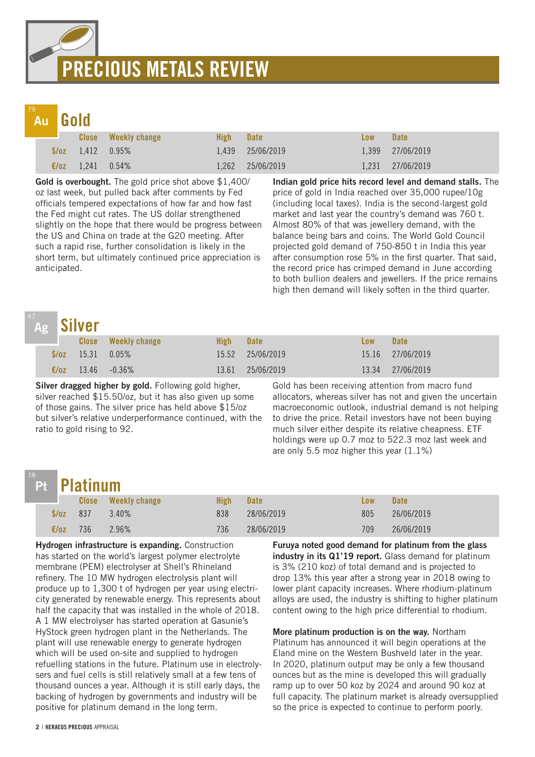# PRECIOUS METALS REVIEW

## Au

|                  | Au Gold                       |                            |      |                  |            |                  |  |  |  |
|------------------|-------------------------------|----------------------------|------|------------------|------------|------------------|--|--|--|
| <u> Maria Ba</u> |                               | <b>Close</b> Weekly change | High | <b>Date</b>      | <b>Low</b> | <b>Date</b>      |  |  |  |
|                  | $\sqrt{6z}$ 1.412 0.95%       |                            |      | 1,439 25/06/2019 |            | 1,399 27/06/2019 |  |  |  |
|                  | $\epsilon/\sigma$ 1.241 0.54% |                            |      | 1,262 25/06/2019 |            | 1,231 27/06/2019 |  |  |  |

Gold is overbought. The gold price shot above \$1,400/ oz last week, but pulled back after comments by Fed officials tempered expectations of how far and how fast the Fed might cut rates. The US dollar strengthened slightly on the hope that there would be progress between the US and China on trade at the G20 meeting. After such a rapid rise, further consolidation is likely in the short term, but ultimately continued price appreciation is anticipated.

Indian gold price hits record level and demand stalls. The price of gold in India reached over 35,000 rupee/10g (including local taxes). India is the second-largest gold market and last year the country's demand was 760 t. Almost 80% of that was jewellery demand, with the balance being bars and coins. The World Gold Council projected gold demand of 750-850 t in India this year after consumption rose 5% in the first quarter. That said, the record price has crimped demand in June according to both bullion dealers and jewellers. If the price remains high then demand will likely soften in the third quarter.

| 4/ |                | Ag Silver                 |                            |             |                  |            |                  |  |
|----|----------------|---------------------------|----------------------------|-------------|------------------|------------|------------------|--|
|    |                |                           | <b>Close</b> Weekly change | <b>High</b> | <b>Date</b>      | <b>Low</b> | <b>Date</b>      |  |
|    |                | $\sqrt{$70z}$ 15.31 0.05% |                            |             | 15.52 25/06/2019 |            | 15.16 27/06/2019 |  |
|    | $\epsilon$ /oz |                           | $13.46 - 0.36\%$           | 13.61       | 25/06/2019       | 13.34      | 27/06/2019       |  |

Silver dragged higher by gold. Following gold higher, silver reached \$15.50/oz, but it has also given up some of those gains. The silver price has held above \$15/oz but silver's relative underperformance continued, with the ratio to gold rising to 92.

Gold has been receiving attention from macro fund allocators, whereas silver has not and given the uncertain macroeconomic outlook, industrial demand is not helping to drive the price. Retail investors have not been buying much silver either despite its relative cheapness. ETF holdings were up 0.7 moz to 522.3 moz last week and are only 5.5 moz higher this year (1.1%)

## Pt

78

|                                   |                 | Pt Platinum |                            |      |             |            |             |  |  |  |
|-----------------------------------|-----------------|-------------|----------------------------|------|-------------|------------|-------------|--|--|--|
| <b>Contract Contract Contract</b> |                 |             | <b>Close</b> Weekly change | High | <b>Date</b> | <b>Low</b> | <b>Date</b> |  |  |  |
|                                   | $\sqrt{0z}$ 837 |             | $3.40\%$                   | 838  | 28/06/2019  | 805        | 26/06/2019  |  |  |  |
|                                   | $\epsilon$ /0Z  | 736         | 2.96%                      | 736  | 28/06/2019  | 709        | 26/06/2019  |  |  |  |

Hydrogen infrastructure is expanding. Construction has started on the world's largest polymer electrolyte membrane (PEM) electrolyser at Shell's Rhineland refinery. The 10 MW hydrogen electrolysis plant will produce up to 1,300 t of hydrogen per year using electricity generated by renewable energy. This represents about half the capacity that was installed in the whole of 2018. A 1 MW electrolyser has started operation at Gasunie's HyStock green hydrogen plant in the Netherlands. The plant will use renewable energy to generate hydrogen which will be used on-site and supplied to hydrogen refuelling stations in the future. Platinum use in electrolysers and fuel cells is still relatively small at a few tens of thousand ounces a year. Although it is still early days, the backing of hydrogen by governments and industry will be positive for platinum demand in the long term.

Furuya noted good demand for platinum from the glass industry in its Q1'19 report. Glass demand for platinum is 3% (210 koz) of total demand and is projected to drop 13% this year after a strong year in 2018 owing to lower plant capacity increases. Where rhodium-platinum alloys are used, the industry is shifting to higher platinum content owing to the high price differential to rhodium.

More platinum production is on the way. Northam Platinum has announced it will begin operations at the Eland mine on the Western Bushveld later in the year. In 2020, platinum output may be only a few thousand ounces but as the mine is developed this will gradually ramp up to over 50 koz by 2024 and around 90 koz at full capacity. The platinum market is already oversupplied so the price is expected to continue to perform poorly.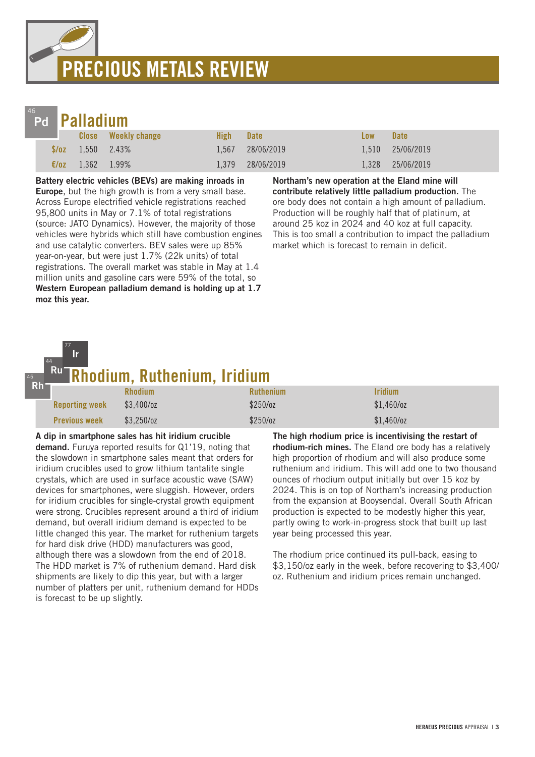## PRECIOUS METALS REVIEW



77

## Palladium

|                |                          | Close Weekly change | High Date |                  | <b>Low</b> | <b>Date</b>      |
|----------------|--------------------------|---------------------|-----------|------------------|------------|------------------|
|                | $\sqrt{$6z}$ 1,550 2.43% |                     |           | 1,567 28/06/2019 |            | 1.510 25/06/2019 |
| $\epsilon$ /oz | $1,362$ $1.99\%$         |                     | 1.379     | 28/06/2019       |            | 1,328 25/06/2019 |

Battery electric vehicles (BEVs) are making inroads in **Europe**, but the high growth is from a very small base. Across Europe electrified vehicle registrations reached 95,800 units in May or 7.1% of total registrations (source: JATO Dynamics). However, the majority of those vehicles were hybrids which still have combustion engines and use catalytic converters. BEV sales were up 85% year-on-year, but were just 1.7% (22k units) of total registrations. The overall market was stable in May at 1.4 million units and gasoline cars were 59% of the total, so Western European palladium demand is holding up at 1.7 moz this year.

Northam's new operation at the Eland mine will contribute relatively little palladium production. The ore body does not contain a high amount of palladium. Production will be roughly half that of platinum, at around 25 koz in 2024 and 40 koz at full capacity. This is too small a contribution to impact the palladium market which is forecast to remain in deficit.

#### odium, Ruthenium, Iridium 44 Ru Ir

| $Rh^-$ | -------------         |                |                  |                |  |
|--------|-----------------------|----------------|------------------|----------------|--|
|        |                       | <b>Rhodium</b> | <b>Ruthenium</b> | <b>Iridium</b> |  |
|        | <b>Reporting week</b> | $$3,400$ /oz   | \$250/oz         | $$1,460$ /oz   |  |
|        | <b>Previous week</b>  | $$3,250$ /oz   | $$250$ /oz       | $$1,460$ /oz   |  |

A dip in smartphone sales has hit iridium crucible demand. Furuya reported results for Q1'19, noting that the slowdown in smartphone sales meant that orders for iridium crucibles used to grow lithium tantalite single crystals, which are used in surface acoustic wave (SAW) devices for smartphones, were sluggish. However, orders for iridium crucibles for single-crystal growth equipment were strong. Crucibles represent around a third of iridium demand, but overall iridium demand is expected to be little changed this year. The market for ruthenium targets for hard disk drive (HDD) manufacturers was good, although there was a slowdown from the end of 2018. The HDD market is 7% of ruthenium demand. Hard disk shipments are likely to dip this year, but with a larger number of platters per unit, ruthenium demand for HDDs is forecast to be up slightly.

The high rhodium price is incentivising the restart of rhodium-rich mines. The Eland ore body has a relatively high proportion of rhodium and will also produce some ruthenium and iridium. This will add one to two thousand ounces of rhodium output initially but over 15 koz by 2024. This is on top of Northam's increasing production from the expansion at Booysendal. Overall South African production is expected to be modestly higher this year, partly owing to work-in-progress stock that built up last year being processed this year.

The rhodium price continued its pull-back, easing to \$3,150/oz early in the week, before recovering to \$3,400/ oz. Ruthenium and iridium prices remain unchanged.